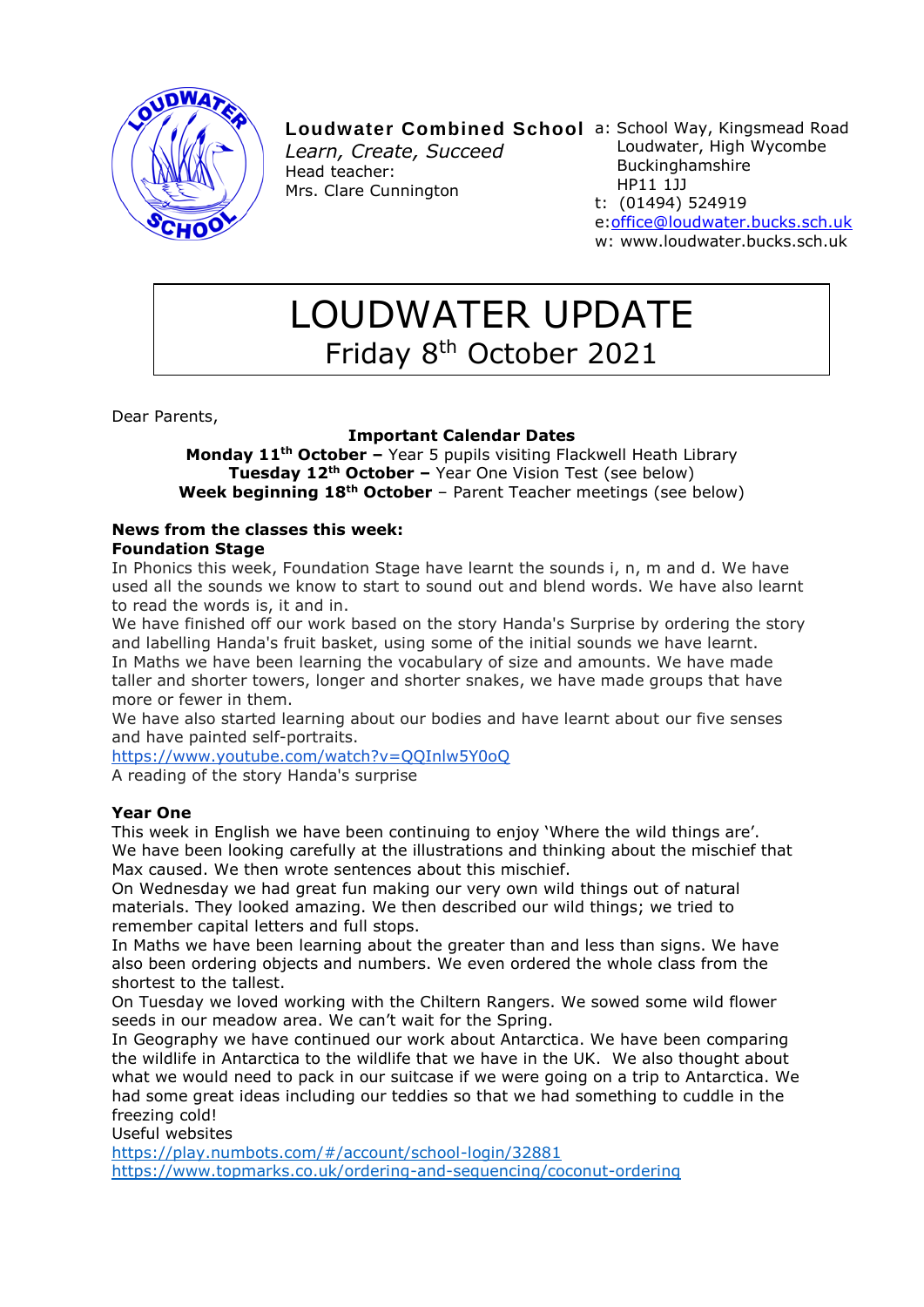

# Loudwater Combined School a: School Way, Kingsmead Road

*Learn, Create, Succeed* Head teacher: Mrs. Clare Cunnington

- Loudwater, High Wycombe Buckinghamshire HP11 1JJ
- t: (01494) 524919 e[:office@loudwater.bucks.sch.uk](mailto:office@loudwater.bucks.sch.uk) w: www.loudwater.bucks.sch.uk

# LOUDWATER UPDATE Friday 8th October 2021

Dear Parents,

# **Important Calendar Dates**

**Monday 11th October –** Year 5 pupils visiting Flackwell Heath Library **Tuesday 12th October –** Year One Vision Test (see below) **Week beginning 18th October** – Parent Teacher meetings (see below)

# **News from the classes this week: Foundation Stage**

In Phonics this week, Foundation Stage have learnt the sounds i, n, m and d. We have used all the sounds we know to start to sound out and blend words. We have also learnt to read the words is, it and in.

We have finished off our work based on the story Handa's Surprise by ordering the story and labelling Handa's fruit basket, using some of the initial sounds we have learnt. In Maths we have been learning the vocabulary of size and amounts. We have made taller and shorter towers, longer and shorter snakes, we have made groups that have more or fewer in them.

We have also started learning about our bodies and have learnt about our five senses and have painted self-portraits.

<https://www.youtube.com/watch?v=QQInlw5Y0oQ>

A reading of the story Handa's surprise

# **Year One**

This week in English we have been continuing to enjoy 'Where the wild things are'. We have been looking carefully at the illustrations and thinking about the mischief that Max caused. We then wrote sentences about this mischief.

On Wednesday we had great fun making our very own wild things out of natural materials. They looked amazing. We then described our wild things; we tried to remember capital letters and full stops.

In Maths we have been learning about the greater than and less than signs. We have also been ordering objects and numbers. We even ordered the whole class from the shortest to the tallest.

On Tuesday we loved working with the Chiltern Rangers. We sowed some wild flower seeds in our meadow area. We can't wait for the Spring.

In Geography we have continued our work about Antarctica. We have been comparing the wildlife in Antarctica to the wildlife that we have in the UK. We also thought about what we would need to pack in our suitcase if we were going on a trip to Antarctica. We had some great ideas including our teddies so that we had something to cuddle in the freezing cold!

Useful websites

<https://play.numbots.com/#/account/school-login/32881> <https://www.topmarks.co.uk/ordering-and-sequencing/coconut-ordering>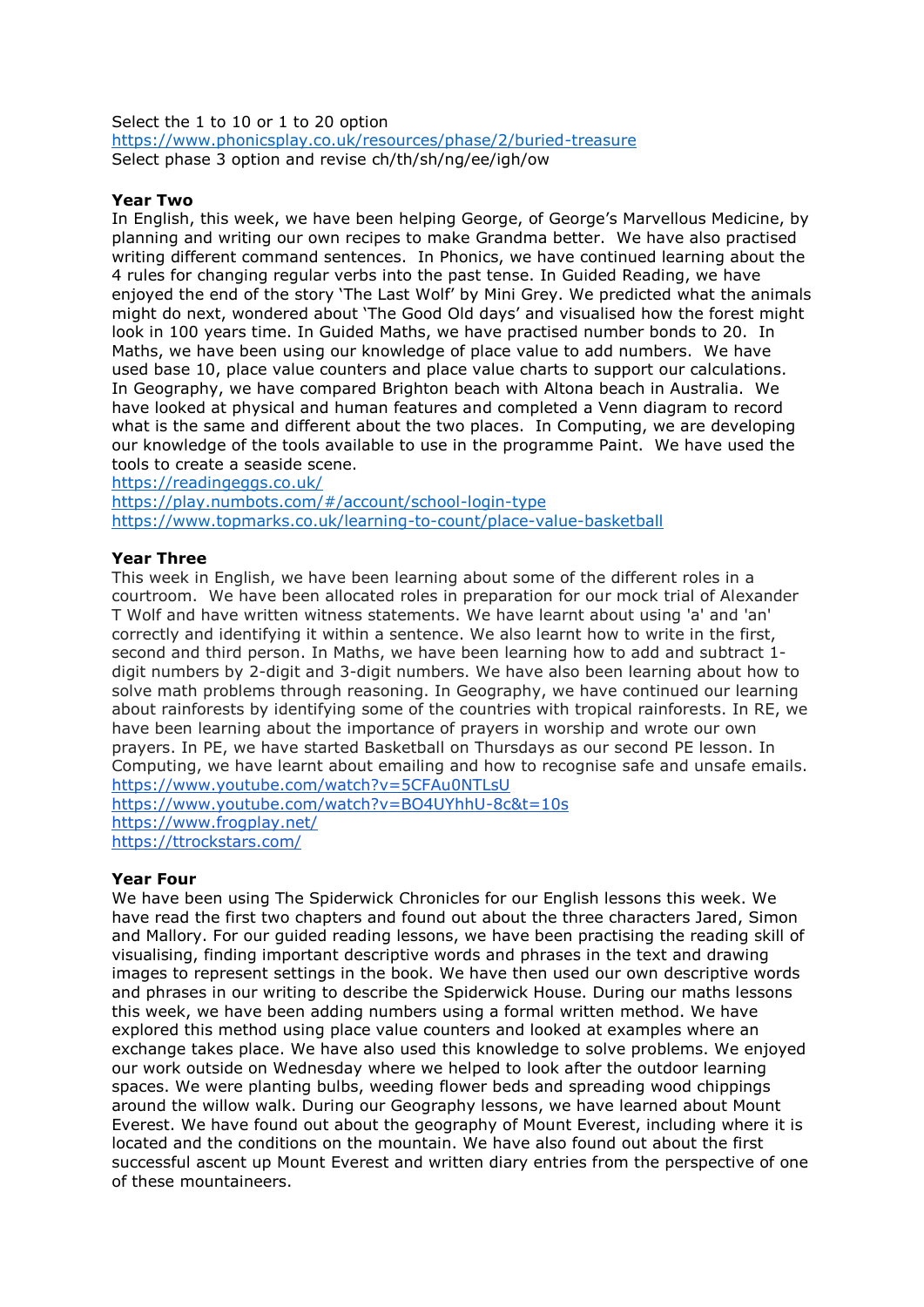Select the 1 to 10 or 1 to 20 option <https://www.phonicsplay.co.uk/resources/phase/2/buried-treasure> Select phase 3 option and revise ch/th/sh/ng/ee/igh/ow

#### **Year Two**

In English, this week, we have been helping George, of George's Marvellous Medicine, by planning and writing our own recipes to make Grandma better. We have also practised writing different command sentences. In Phonics, we have continued learning about the 4 rules for changing regular verbs into the past tense. In Guided Reading, we have enjoyed the end of the story 'The Last Wolf' by Mini Grey. We predicted what the animals might do next, wondered about 'The Good Old days' and visualised how the forest might look in 100 years time. In Guided Maths, we have practised number bonds to 20. In Maths, we have been using our knowledge of place value to add numbers. We have used base 10, place value counters and place value charts to support our calculations. In Geography, we have compared Brighton beach with Altona beach in Australia. We have looked at physical and human features and completed a Venn diagram to record what is the same and different about the two places. In Computing, we are developing our knowledge of the tools available to use in the programme Paint. We have used the tools to create a seaside scene.

<https://readingeggs.co.uk/>

<https://play.numbots.com/#/account/school-login-type> <https://www.topmarks.co.uk/learning-to-count/place-value-basketball>

#### **Year Three**

This week in English, we have been learning about some of the different roles in a courtroom. We have been allocated roles in preparation for our mock trial of Alexander T Wolf and have written witness statements. We have learnt about using 'a' and 'an' correctly and identifying it within a sentence. We also learnt how to write in the first, second and third person. In Maths, we have been learning how to add and subtract 1 digit numbers by 2-digit and 3-digit numbers. We have also been learning about how to solve math problems through reasoning. In Geography, we have continued our learning about rainforests by identifying some of the countries with tropical rainforests. In RE, we have been learning about the importance of prayers in worship and wrote our own prayers. In PE, we have started Basketball on Thursdays as our second PE lesson. In Computing, we have learnt about emailing and how to recognise safe and unsafe emails. <https://www.youtube.com/watch?v=5CFAu0NTLsU>

<https://www.youtube.com/watch?v=BO4UYhhU-8c&t=10s> <https://www.frogplay.net/> <https://ttrockstars.com/>

#### **Year Four**

We have been using The Spiderwick Chronicles for our English lessons this week. We have read the first two chapters and found out about the three characters Jared, Simon and Mallory. For our guided reading lessons, we have been practising the reading skill of visualising, finding important descriptive words and phrases in the text and drawing images to represent settings in the book. We have then used our own descriptive words and phrases in our writing to describe the Spiderwick House. During our maths lessons this week, we have been adding numbers using a formal written method. We have explored this method using place value counters and looked at examples where an exchange takes place. We have also used this knowledge to solve problems. We enjoyed our work outside on Wednesday where we helped to look after the outdoor learning spaces. We were planting bulbs, weeding flower beds and spreading wood chippings around the willow walk. During our Geography lessons, we have learned about Mount Everest. We have found out about the geography of Mount Everest, including where it is located and the conditions on the mountain. We have also found out about the first successful ascent up Mount Everest and written diary entries from the perspective of one of these mountaineers.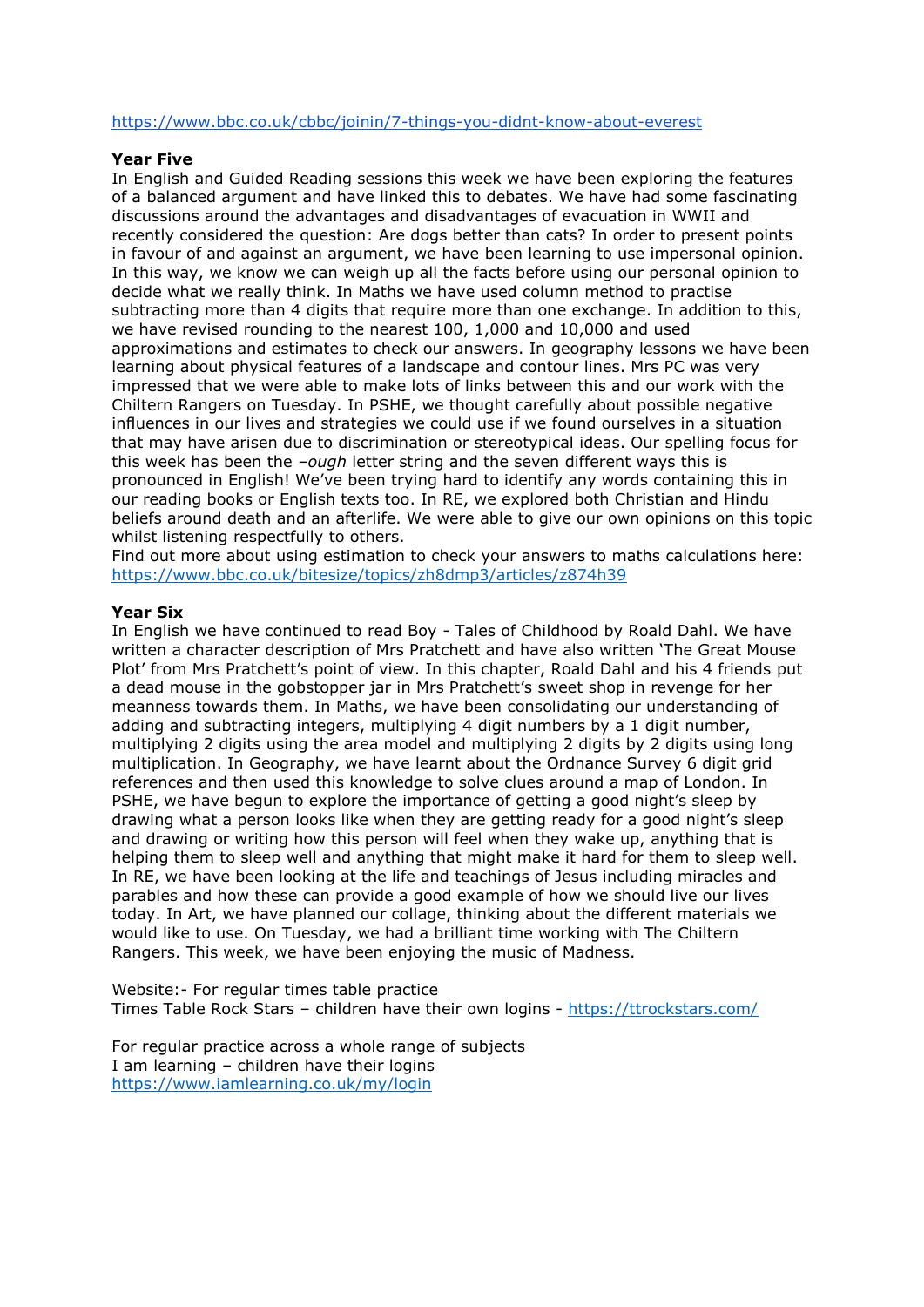#### <https://www.bbc.co.uk/cbbc/joinin/7-things-you-didnt-know-about-everest>

#### **Year Five**

In English and Guided Reading sessions this week we have been exploring the features of a balanced argument and have linked this to debates. We have had some fascinating discussions around the advantages and disadvantages of evacuation in WWII and recently considered the question: Are dogs better than cats? In order to present points in favour of and against an argument, we have been learning to use impersonal opinion. In this way, we know we can weigh up all the facts before using our personal opinion to decide what we really think. In Maths we have used column method to practise subtracting more than 4 digits that require more than one exchange. In addition to this, we have revised rounding to the nearest 100, 1,000 and 10,000 and used approximations and estimates to check our answers. In geography lessons we have been learning about physical features of a landscape and contour lines. Mrs PC was very impressed that we were able to make lots of links between this and our work with the Chiltern Rangers on Tuesday. In PSHE, we thought carefully about possible negative influences in our lives and strategies we could use if we found ourselves in a situation that may have arisen due to discrimination or stereotypical ideas. Our spelling focus for this week has been the *–ough* letter string and the seven different ways this is pronounced in English! We've been trying hard to identify any words containing this in our reading books or English texts too. In RE, we explored both Christian and Hindu beliefs around death and an afterlife. We were able to give our own opinions on this topic whilst listening respectfully to others.

Find out more about using estimation to check your answers to maths calculations here: <https://www.bbc.co.uk/bitesize/topics/zh8dmp3/articles/z874h39>

# **Year Six**

In English we have continued to read Boy - Tales of Childhood by Roald Dahl. We have written a character description of Mrs Pratchett and have also written 'The Great Mouse Plot' from Mrs Pratchett's point of view. In this chapter, Roald Dahl and his 4 friends put a dead mouse in the gobstopper jar in Mrs Pratchett's sweet shop in revenge for her meanness towards them. In Maths, we have been consolidating our understanding of adding and subtracting integers, multiplying 4 digit numbers by a 1 digit number, multiplying 2 digits using the area model and multiplying 2 digits by 2 digits using long multiplication. In Geography, we have learnt about the Ordnance Survey 6 digit grid references and then used this knowledge to solve clues around a map of London. In PSHE, we have begun to explore the importance of getting a good night's sleep by drawing what a person looks like when they are getting ready for a good night's sleep and drawing or writing how this person will feel when they wake up, anything that is helping them to sleep well and anything that might make it hard for them to sleep well. In RE, we have been looking at the life and teachings of Jesus including miracles and parables and how these can provide a good example of how we should live our lives today. In Art, we have planned our collage, thinking about the different materials we would like to use. On Tuesday, we had a brilliant time working with The Chiltern Rangers. This week, we have been enjoying the music of Madness.

Website:- For regular times table practice Times Table Rock Stars - children have their own logins - <https://ttrockstars.com/>

For regular practice across a whole range of subjects I am learning – children have their logins <https://www.iamlearning.co.uk/my/login>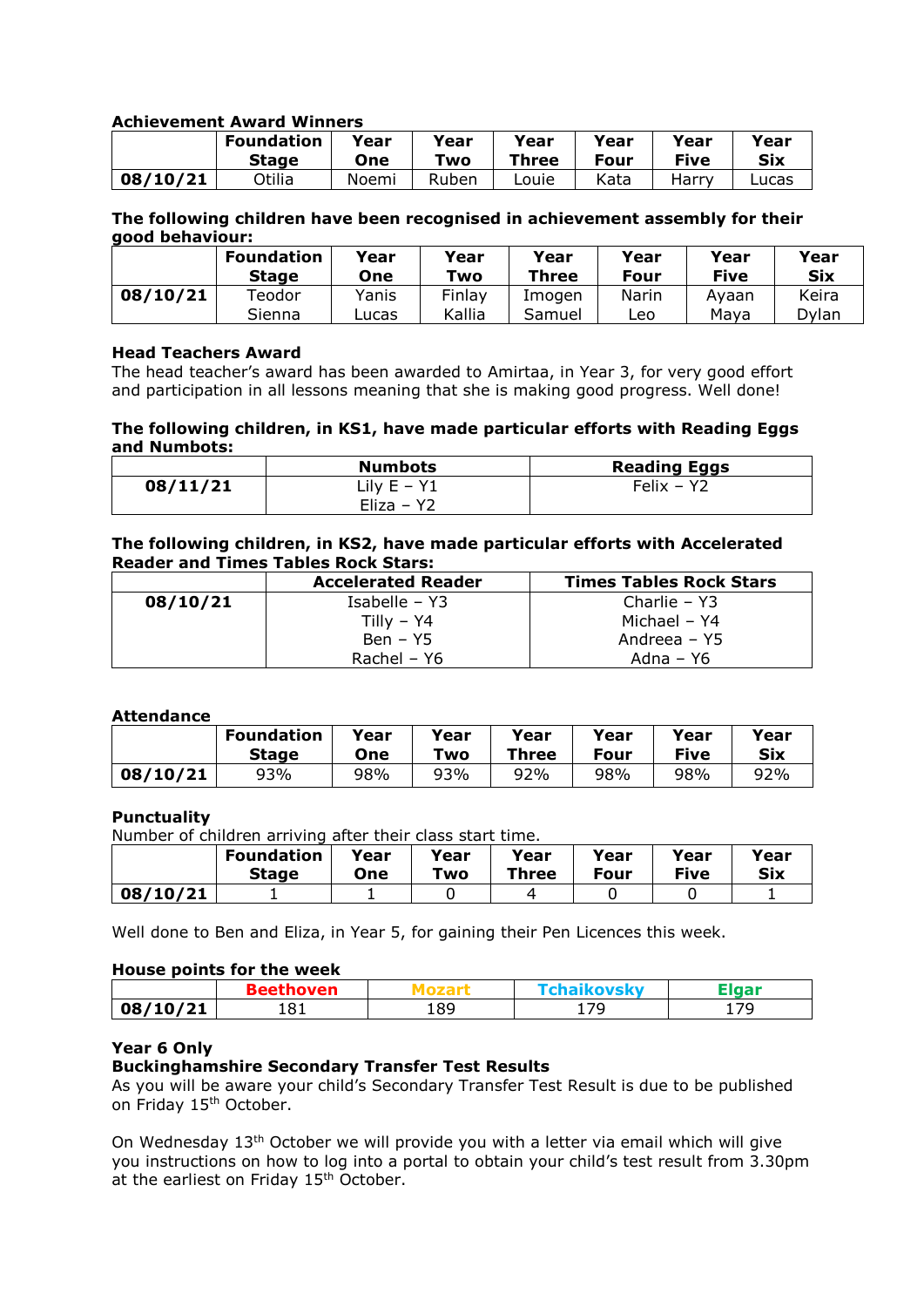# **Achievement Award Winners**

|          | <b>Foundation</b> | Year  | Year  | Year  | Year | Year        | Year   |
|----------|-------------------|-------|-------|-------|------|-------------|--------|
|          | <b>Stage</b>      | One   | Two   | Three | Four | <b>Five</b> | Six    |
| 08/10/21 | Otilia            | Noemi | Ruben | Louie | Kata | Harrv       | Lucas. |

# **The following children have been recognised in achievement assembly for their good behaviour:**

|          | <b>Foundation</b><br><b>Stage</b> | Year<br>One | Year<br>Two | Year<br><b>Three</b> | Year<br>Four | Year<br>Five | Year<br>Six |
|----------|-----------------------------------|-------------|-------------|----------------------|--------------|--------------|-------------|
| 08/10/21 | Teodor                            | Yanis       | Finlay      | Imogen               | Narin        | Ayaan        | Keira       |
|          | Sienna                            | Lucas       | Kallia      | Samuel               | Leo          | Maya         | Dvlan       |

#### **Head Teachers Award**

The head teacher's award has been awarded to Amirtaa, in Year 3, for very good effort and participation in all lessons meaning that she is making good progress. Well done!

#### **The following children, in KS1, have made particular efforts with Reading Eggs and Numbots:**

|          | <b>Numbots</b> | <b>Reading Eggs</b> |
|----------|----------------|---------------------|
| 08/11/21 | Lily $E - Y1$  | Felix - Y2          |
|          | Eliza – $Y2$   |                     |

#### **The following children, in KS2, have made particular efforts with Accelerated Reader and Times Tables Rock Stars:**

|          | <b>Accelerated Reader</b> | <b>Times Tables Rock Stars</b> |
|----------|---------------------------|--------------------------------|
| 08/10/21 | Isabelle – $Y3$           | Charlie – $Y3$                 |
|          | Tilly – Y4                | Michael - Y4                   |
|          | $Ben - Y5$                | Andreea – Y5                   |
|          | Rachel – Y6               | Adna – Y6                      |

# **Attendance**

|          | <b>Foundation</b> | Year | Year | Year  | vear | Year | Year |
|----------|-------------------|------|------|-------|------|------|------|
|          | <b>Stage</b>      | One  | Two  | Three | Four | Five | Six  |
| 08/10/21 | 93%               | 98%  | 93%  | 92%   | 98%  | 98%  | 92%  |

# **Punctuality**

Number of children arriving after their class start time.

|          | <b>Foundation</b> | Year | vear | Year  | Year | Year | Year       |
|----------|-------------------|------|------|-------|------|------|------------|
|          | <b>Stage</b>      | One  | Two  | Three | Four | Five | <b>Six</b> |
| 08/10/21 |                   |      |      |       |      |      |            |

Well done to Ben and Eliza, in Year 5, for gaining their Pen Licences this week.

#### **House points for the week**

| /21    | ່ດາ | 189 | 1 70  | 70    |
|--------|-----|-----|-------|-------|
| 08/10/ | 191 |     | ᆂ / 그 | - - - |

# **Year 6 Only**

# **Buckinghamshire Secondary Transfer Test Results**

As you will be aware your child's Secondary Transfer Test Result is due to be published on Friday 15<sup>th</sup> October.

On Wednesday  $13<sup>th</sup>$  October we will provide you with a letter via email which will give you instructions on how to log into a portal to obtain your child's test result from 3.30pm at the earliest on Friday 15<sup>th</sup> October.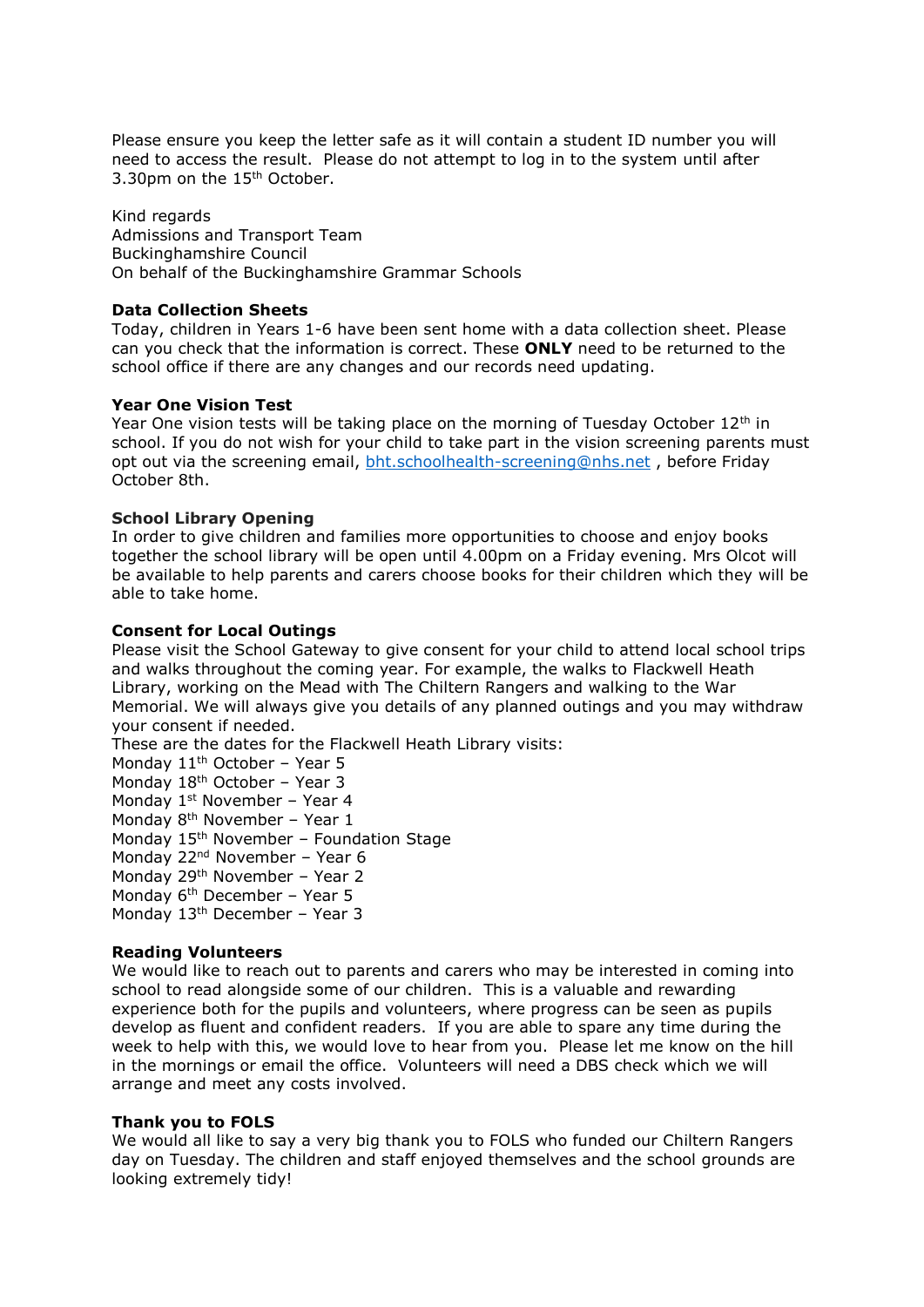Please ensure you keep the letter safe as it will contain a student ID number you will need to access the result. Please do not attempt to log in to the system until after 3.30pm on the 15<sup>th</sup> October.

Kind regards Admissions and Transport Team Buckinghamshire Council On behalf of the Buckinghamshire Grammar Schools

# **Data Collection Sheets**

Today, children in Years 1-6 have been sent home with a data collection sheet. Please can you check that the information is correct. These **ONLY** need to be returned to the school office if there are any changes and our records need updating.

# **Year One Vision Test**

Year One vision tests will be taking place on the morning of Tuesday October  $12<sup>th</sup>$  in school. If you do not wish for your child to take part in the vision screening parents must opt out via the screening email, [bht.schoolhealth-screening@nhs.net](mailto:bht.schoolhealth-screening@nhs.net) , before Friday October 8th.

# **School Library Opening**

In order to give children and families more opportunities to choose and enjoy books together the school library will be open until 4.00pm on a Friday evening. Mrs Olcot will be available to help parents and carers choose books for their children which they will be able to take home.

# **Consent for Local Outings**

Please visit the School Gateway to give consent for your child to attend local school trips and walks throughout the coming year. For example, the walks to Flackwell Heath Library, working on the Mead with The Chiltern Rangers and walking to the War Memorial. We will always give you details of any planned outings and you may withdraw your consent if needed.

These are the dates for the Flackwell Heath Library visits:

Monday 11<sup>th</sup> October - Year 5

Monday 18<sup>th</sup> October - Year 3

Monday 1<sup>st</sup> November - Year 4

Monday  $8<sup>th</sup>$  November – Year 1

Monday 15<sup>th</sup> November - Foundation Stage

Monday 22<sup>nd</sup> November - Year 6

Monday 29th November – Year 2

Monday 6<sup>th</sup> December - Year 5

Monday 13th December – Year 3

# **Reading Volunteers**

We would like to reach out to parents and carers who may be interested in coming into school to read alongside some of our children. This is a valuable and rewarding experience both for the pupils and volunteers, where progress can be seen as pupils develop as fluent and confident readers. If you are able to spare any time during the week to help with this, we would love to hear from you. Please let me know on the hill in the mornings or email the office. Volunteers will need a DBS check which we will arrange and meet any costs involved.

# **Thank you to FOLS**

We would all like to say a very big thank you to FOLS who funded our Chiltern Rangers day on Tuesday. The children and staff enjoyed themselves and the school grounds are looking extremely tidy!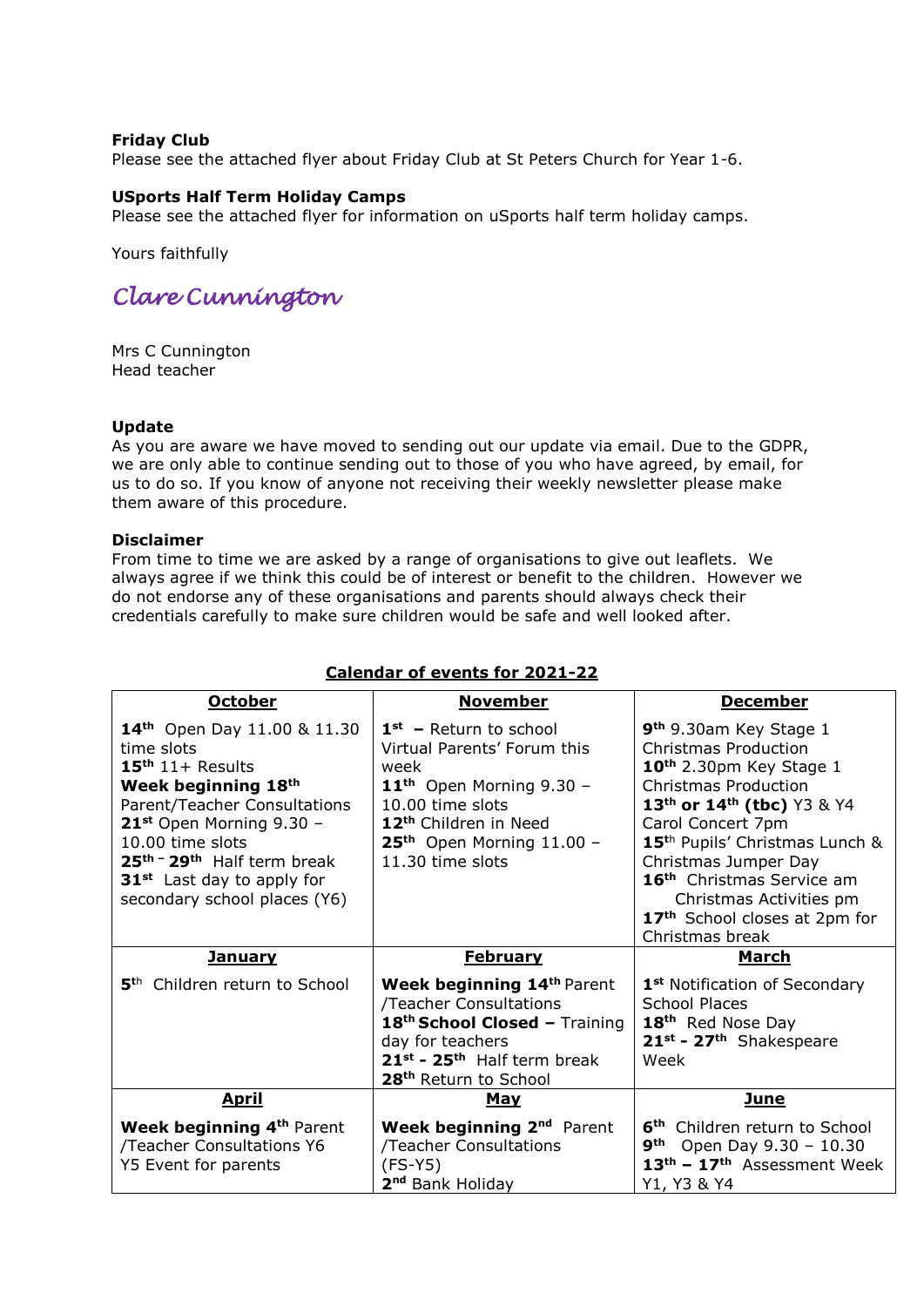# **Friday Club**

Please see the attached flyer about Friday Club at St Peters Church for Year 1-6.

# **USports Half Term Holiday Camps**

Please see the attached flyer for information on uSports half term holiday camps.

Yours faithfully

# *Clare Cunnington*

Mrs C Cunnington Head teacher

# **Update**

As you are aware we have moved to sending out our update via email. Due to the GDPR, we are only able to continue sending out to those of you who have agreed, by email, for us to do so. If you know of anyone not receiving their weekly newsletter please make them aware of this procedure.

# **Disclaimer**

From time to time we are asked by a range of organisations to give out leaflets. We always agree if we think this could be of interest or benefit to the children. However we do not endorse any of these organisations and parents should always check their credentials carefully to make sure children would be safe and well looked after.

| <b>October</b>                                                                                                                                                                                                                                                                                                          | <b>November</b>                                                                                                                                                                                           | <b>December</b>                                                                                                                                                                                                                                                                                                                                                                                                              |
|-------------------------------------------------------------------------------------------------------------------------------------------------------------------------------------------------------------------------------------------------------------------------------------------------------------------------|-----------------------------------------------------------------------------------------------------------------------------------------------------------------------------------------------------------|------------------------------------------------------------------------------------------------------------------------------------------------------------------------------------------------------------------------------------------------------------------------------------------------------------------------------------------------------------------------------------------------------------------------------|
| 14 <sup>th</sup> Open Day 11.00 & 11.30<br>time slots<br>$15th 11+ Results$<br>Week beginning 18th<br>Parent/Teacher Consultations<br>$21st$ Open Morning 9.30 -<br>$10.00$ time slots<br>25 <sup>th -</sup> 29 <sup>th</sup> Half term break<br>31 <sup>st</sup> Last day to apply for<br>secondary school places (Y6) | $1st$ – Return to school<br>Virtual Parents' Forum this<br>week<br>$11th$ Open Morning 9.30 -<br>10.00 time slots<br>12 <sup>th</sup> Children in Need<br>$25th$ Open Morning 11.00 -<br>11.30 time slots | 9 <sup>th</sup> 9.30am Key Stage 1<br><b>Christmas Production</b><br>10 <sup>th</sup> 2.30pm Key Stage 1<br><b>Christmas Production</b><br>13 <sup>th</sup> or 14 <sup>th</sup> (tbc) Y3 & Y4<br>Carol Concert 7pm<br>15 <sup>th</sup> Pupils' Christmas Lunch &<br>Christmas Jumper Day<br>16 <sup>th</sup> Christmas Service am<br>Christmas Activities pm<br>17 <sup>th</sup> School closes at 2pm for<br>Christmas break |
| <u>January</u>                                                                                                                                                                                                                                                                                                          | <u>February</u>                                                                                                                                                                                           | March                                                                                                                                                                                                                                                                                                                                                                                                                        |
| 5 <sup>th</sup> Children return to School                                                                                                                                                                                                                                                                               | Week beginning 14th Parent<br>/Teacher Consultations<br>18th School Closed - Training<br>day for teachers<br>21 <sup>st</sup> - 25 <sup>th</sup> Half term break<br>28 <sup>th</sup> Return to School     | 1 <sup>st</sup> Notification of Secondary<br><b>School Places</b><br>18 <sup>th</sup> Red Nose Day<br>21st - 27th Shakespeare<br>Week                                                                                                                                                                                                                                                                                        |
| <u>April</u>                                                                                                                                                                                                                                                                                                            | <b>May</b>                                                                                                                                                                                                | <b>June</b>                                                                                                                                                                                                                                                                                                                                                                                                                  |
| Week beginning 4 <sup>th</sup> Parent<br>/Teacher Consultations Y6<br>Y5 Event for parents                                                                                                                                                                                                                              | Week beginning 2 <sup>nd</sup> Parent<br>/Teacher Consultations<br>$(FS-Y5)$<br>2 <sup>nd</sup> Bank Holiday                                                                                              | 6 <sup>th</sup> Children return to School<br>9 <sup>th</sup><br>Open Day 9.30 - 10.30<br>13 <sup>th</sup> - 17 <sup>th</sup> Assessment Week<br>Y1, Y3 & Y4                                                                                                                                                                                                                                                                  |

# **Calendar of events for 2021-22**